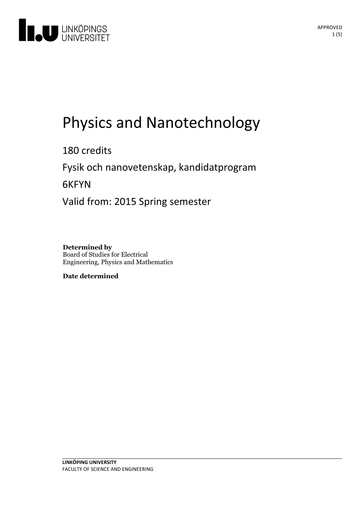

# Physics and Nanotechnology

180 credits

Fysik och nanovetenskap, kandidatprogram

6KFYN

Valid from: 2015 Spring semester

**Determined by** Board of Studies for Electrical Engineering, Physics and Mathematics

**Date determined**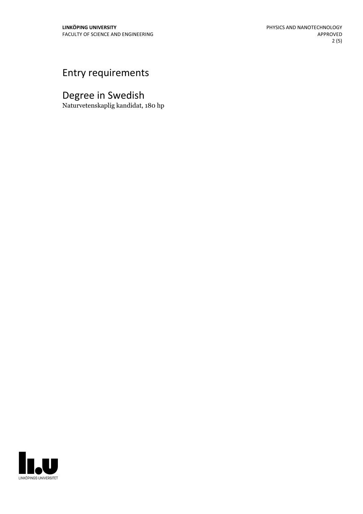### Entry requirements

## Degree in Swedish

Naturvetenskaplig kandidat, 180 hp

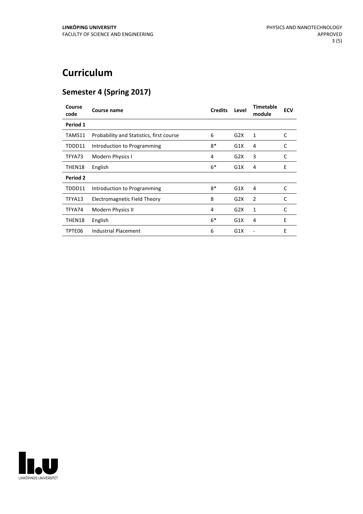## **Curriculum**

#### **Semester 4 (Spring 2017)**

| Course<br>code | <b>Course name</b>                       | <b>Credits</b> | Level | <b>Timetable</b><br>module | <b>ECV</b> |
|----------------|------------------------------------------|----------------|-------|----------------------------|------------|
| Period 1       |                                          |                |       |                            |            |
| TAMS11         | Probability and Statistics, first course | 6              | G2X   | 1                          | C          |
| TDDD11         | Introduction to Programming              | $8*$           | G1X   | 4                          | C          |
| TFYA73         | Modern Physics I                         | 4              | G2X   | 3                          | C          |
| THEN18         | English                                  | $6*$           | G1X   | 4                          | E          |
| Period 2       |                                          |                |       |                            |            |
| TDDD11         | Introduction to Programming              | $8*$           | G1X   | 4                          | C          |
| TFYA13         | Electromagnetic Field Theory             | 8              | G2X   | 2                          | C          |
| TFYA74         | Modern Physics II                        | 4              | G2X   | 1                          | C          |
| THEN18         | English                                  | $6*$           | G1X   | 4                          | E          |
| TPTE06         | <b>Industrial Placement</b>              | 6              | G1X   |                            | E          |

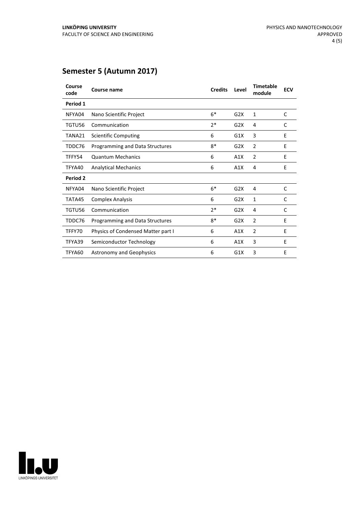#### **Semester 5 (Autumn 2017)**

| Course<br>code | <b>Course name</b>                 | <b>Credits</b> | Level | <b>Timetable</b><br>module | <b>ECV</b> |
|----------------|------------------------------------|----------------|-------|----------------------------|------------|
| Period 1       |                                    |                |       |                            |            |
| NFYA04         | Nano Scientific Project            | $6*$           | G2X   | 1                          | C          |
| TGTU56         | Communication                      | $7*$           | G2X   | 4                          | C          |
| TANA21         | <b>Scientific Computing</b>        | 6              | G1X   | 3                          | E          |
| TDDC76         | Programming and Data Structures    | $8*$           | G2X   | 2                          | E          |
| TFFY54         | <b>Quantum Mechanics</b>           | 6              | A1X   | $\overline{2}$             | E          |
| TFYA40         | <b>Analytical Mechanics</b>        | 6              | A1X   | 4                          | E          |
| Period 2       |                                    |                |       |                            |            |
| NFYA04         | Nano Scientific Project            | $6*$           | G2X   | 4                          | C          |
| TATA45         | <b>Complex Analysis</b>            | 6              | G2X   | 1                          | C          |
| TGTU56         | Communication                      | $2*$           | G2X   | 4                          | C          |
| TDDC76         | Programming and Data Structures    | $8*$           | G2X   | $\overline{2}$             | E          |
| TFFY70         | Physics of Condensed Matter part I | 6              | A1X   | 2                          | Ε          |
| TFYA39         | Semiconductor Technology           | 6              | A1X   | 3                          | E          |
| TFYA60         | <b>Astronomy and Geophysics</b>    | 6              | G1X   | 3                          | E          |